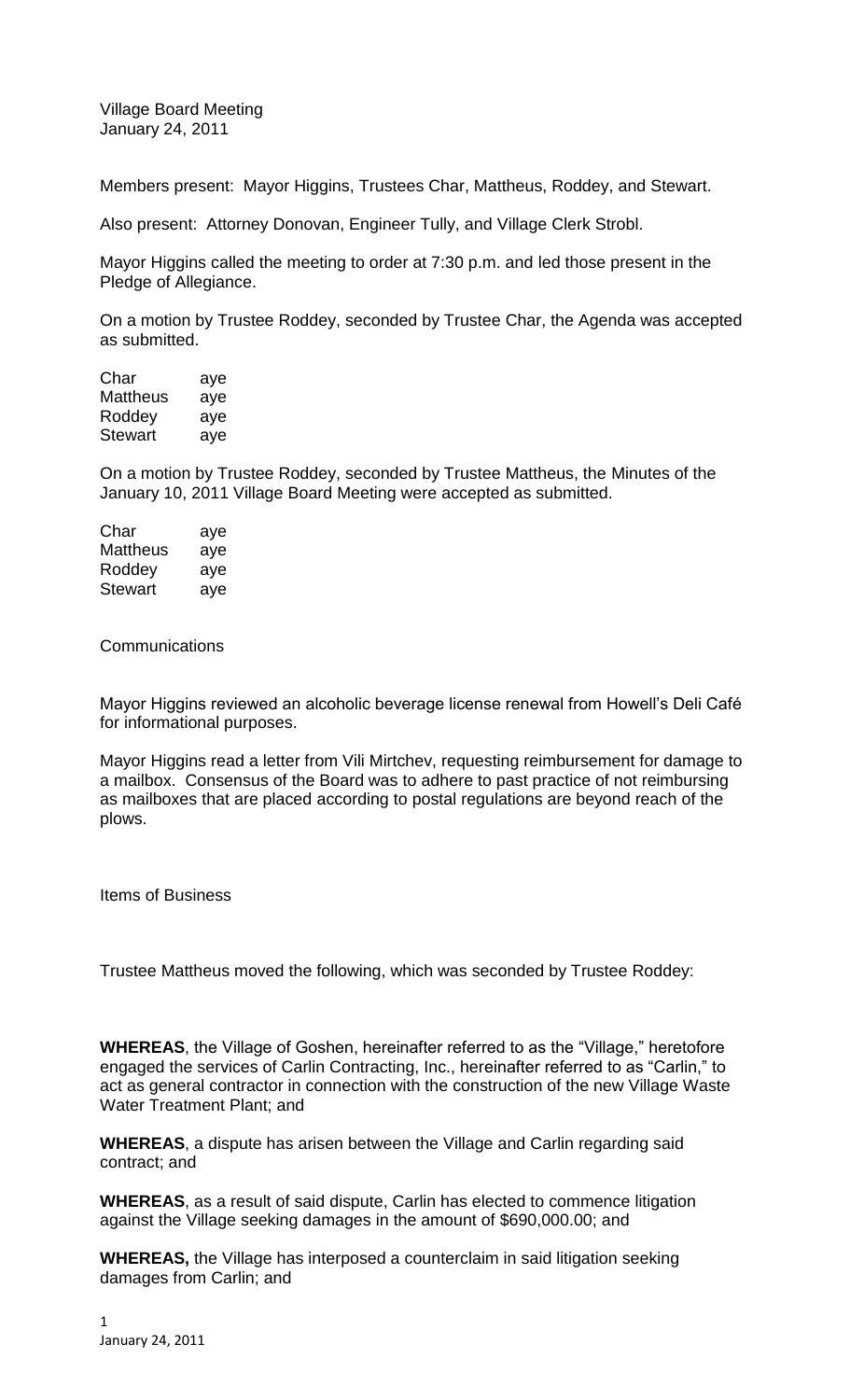Village Board Meeting January 24, 2011

Members present: Mayor Higgins, Trustees Char, Mattheus, Roddey, and Stewart.

Also present: Attorney Donovan, Engineer Tully, and Village Clerk Strobl.

Mayor Higgins called the meeting to order at 7:30 p.m. and led those present in the Pledge of Allegiance.

On a motion by Trustee Roddey, seconded by Trustee Char, the Agenda was accepted as submitted.

| aye |
|-----|
| aye |
| aye |
| aye |
|     |

On a motion by Trustee Roddey, seconded by Trustee Mattheus, the Minutes of the January 10, 2011 Village Board Meeting were accepted as submitted.

| Char     | aye |
|----------|-----|
| Mattheus | aye |
| Roddey   | aye |
| Stewart  | aye |

**Communications** 

Mayor Higgins reviewed an alcoholic beverage license renewal from Howell's Deli Café for informational purposes.

Mayor Higgins read a letter from Vili Mirtchev, requesting reimbursement for damage to a mailbox. Consensus of the Board was to adhere to past practice of not reimbursing as mailboxes that are placed according to postal regulations are beyond reach of the plows.

Items of Business

Trustee Mattheus moved the following, which was seconded by Trustee Roddey:

**WHEREAS**, the Village of Goshen, hereinafter referred to as the "Village," heretofore engaged the services of Carlin Contracting, Inc., hereinafter referred to as "Carlin," to act as general contractor in connection with the construction of the new Village Waste Water Treatment Plant; and

**WHEREAS**, a dispute has arisen between the Village and Carlin regarding said contract; and

**WHEREAS**, as a result of said dispute, Carlin has elected to commence litigation against the Village seeking damages in the amount of \$690,000.00; and

**WHEREAS,** the Village has interposed a counterclaim in said litigation seeking damages from Carlin; and